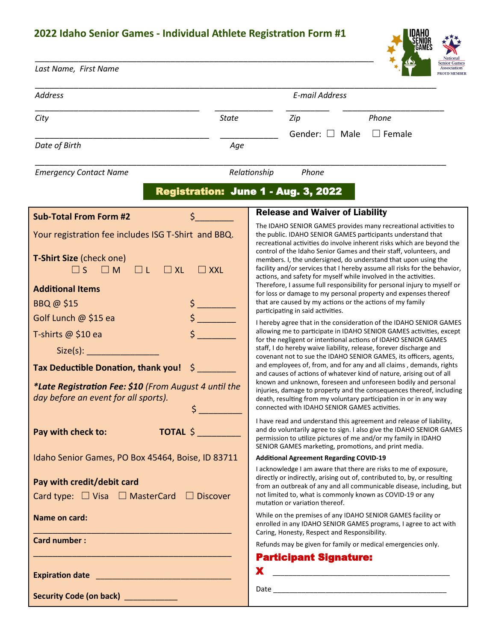## **2022 Idaho Senior Games - Individual Athlete Registration Form #1**

*Last Name, First Name*

\_\_\_\_\_\_\_\_\_\_\_\_\_\_\_\_\_\_\_\_\_\_\_\_\_\_\_\_\_\_\_\_\_\_\_\_\_\_\_\_\_\_\_\_\_\_\_\_\_\_\_\_\_\_\_\_\_\_\_\_\_\_\_\_\_\_\_\_\_\_



| <b>Address</b>                                                                                                                                                                     | E-mail Address                                                                                                                                                                                                                                                                                                                                                                                                                                                                                                                                                                                                                                 |  |
|------------------------------------------------------------------------------------------------------------------------------------------------------------------------------------|------------------------------------------------------------------------------------------------------------------------------------------------------------------------------------------------------------------------------------------------------------------------------------------------------------------------------------------------------------------------------------------------------------------------------------------------------------------------------------------------------------------------------------------------------------------------------------------------------------------------------------------------|--|
| City<br><b>State</b>                                                                                                                                                               | Phone<br>Zip                                                                                                                                                                                                                                                                                                                                                                                                                                                                                                                                                                                                                                   |  |
| Date of Birth<br>Age                                                                                                                                                               | Gender: $\Box$ Male<br>$\Box$ Female                                                                                                                                                                                                                                                                                                                                                                                                                                                                                                                                                                                                           |  |
| <b>Emergency Contact Name</b>                                                                                                                                                      | Relationship<br>Phone                                                                                                                                                                                                                                                                                                                                                                                                                                                                                                                                                                                                                          |  |
| Registration: June 1 - Aug. 3, 2022                                                                                                                                                |                                                                                                                                                                                                                                                                                                                                                                                                                                                                                                                                                                                                                                                |  |
| \$<br><b>Sub-Total From Form #2</b>                                                                                                                                                | <b>Release and Waiver of Liability</b>                                                                                                                                                                                                                                                                                                                                                                                                                                                                                                                                                                                                         |  |
| Your registration fee includes ISG T-Shirt and BBQ.<br><b>T-Shirt Size (check one)</b><br>$\square$ S $\square$ M<br>$\Box$ L<br>$\Box$ XL<br>$\Box$ XXL                           | The IDAHO SENIOR GAMES provides many recreational activities to<br>the public. IDAHO SENIOR GAMES participants understand that<br>recreational activities do involve inherent risks which are beyond the<br>control of the Idaho Senior Games and their staff, volunteers, and<br>members. I, the undersigned, do understand that upon using the<br>facility and/or services that I hereby assume all risks for the behavior,<br>actions, and safety for myself while involved in the activities.                                                                                                                                              |  |
| <b>Additional Items</b>                                                                                                                                                            | Therefore, I assume full responsibility for personal injury to myself or<br>for loss or damage to my personal property and expenses thereof                                                                                                                                                                                                                                                                                                                                                                                                                                                                                                    |  |
| BBQ @ \$15                                                                                                                                                                         | that are caused by my actions or the actions of my family<br>participating in said activities.                                                                                                                                                                                                                                                                                                                                                                                                                                                                                                                                                 |  |
| Golf Lunch @ \$15 ea                                                                                                                                                               | I hereby agree that in the consideration of the IDAHO SENIOR GAMES                                                                                                                                                                                                                                                                                                                                                                                                                                                                                                                                                                             |  |
| T-shirts @ \$10 ea<br>Size(s):<br><b>Tax Deductible Donation, thank you!</b><br>S<br>*Late Registration Fee: \$10 (From August 4 until the<br>day before an event for all sports). | allowing me to participate in IDAHO SENIOR GAMES activities, except<br>for the negligent or intentional actions of IDAHO SENIOR GAMES<br>staff, I do hereby waive liability, release, forever discharge and<br>covenant not to sue the IDAHO SENIOR GAMES, its officers, agents,<br>and employees of, from, and for any and all claims, demands, rights<br>and causes of actions of whatever kind of nature, arising out of all<br>known and unknown, foreseen and unforeseen bodily and personal<br>injuries, damage to property and the consequences thereof, including<br>death, resulting from my voluntary participation in or in any way |  |
| \$                                                                                                                                                                                 | connected with IDAHO SENIOR GAMES activities.<br>I have read and understand this agreement and release of liability,                                                                                                                                                                                                                                                                                                                                                                                                                                                                                                                           |  |
| Pay with check to:<br><b>TOTAL \$</b>                                                                                                                                              | and do voluntarily agree to sign. I also give the IDAHO SENIOR GAMES<br>permission to utilize pictures of me and/or my family in IDAHO<br>SENIOR GAMES marketing, promotions, and print media.                                                                                                                                                                                                                                                                                                                                                                                                                                                 |  |
| Idaho Senior Games, PO Box 45464, Boise, ID 83711                                                                                                                                  | <b>Additional Agreement Regarding COVID-19</b>                                                                                                                                                                                                                                                                                                                                                                                                                                                                                                                                                                                                 |  |
| Pay with credit/debit card<br>Card type: $\Box$ Visa $\Box$ MasterCard $\Box$ Discover                                                                                             | I acknowledge I am aware that there are risks to me of exposure,<br>directly or indirectly, arising out of, contributed to, by, or resulting<br>from an outbreak of any and all communicable disease, including, but<br>not limited to, what is commonly known as COVID-19 or any<br>mutation or variation thereof.                                                                                                                                                                                                                                                                                                                            |  |
| Name on card:                                                                                                                                                                      | While on the premises of any IDAHO SENIOR GAMES facility or<br>enrolled in any IDAHO SENIOR GAMES programs, I agree to act with<br>Caring, Honesty, Respect and Responsibility.                                                                                                                                                                                                                                                                                                                                                                                                                                                                |  |
| <b>Card number:</b>                                                                                                                                                                | Refunds may be given for family or medical emergencies only.                                                                                                                                                                                                                                                                                                                                                                                                                                                                                                                                                                                   |  |
| <u> 1999 - Johann John Stone, mars eta bat eta politikaria (h. 1905).</u>                                                                                                          | <b>Participant Signature:</b>                                                                                                                                                                                                                                                                                                                                                                                                                                                                                                                                                                                                                  |  |
|                                                                                                                                                                                    | X                                                                                                                                                                                                                                                                                                                                                                                                                                                                                                                                                                                                                                              |  |
|                                                                                                                                                                                    |                                                                                                                                                                                                                                                                                                                                                                                                                                                                                                                                                                                                                                                |  |
| Security Code (on back) ____________                                                                                                                                               |                                                                                                                                                                                                                                                                                                                                                                                                                                                                                                                                                                                                                                                |  |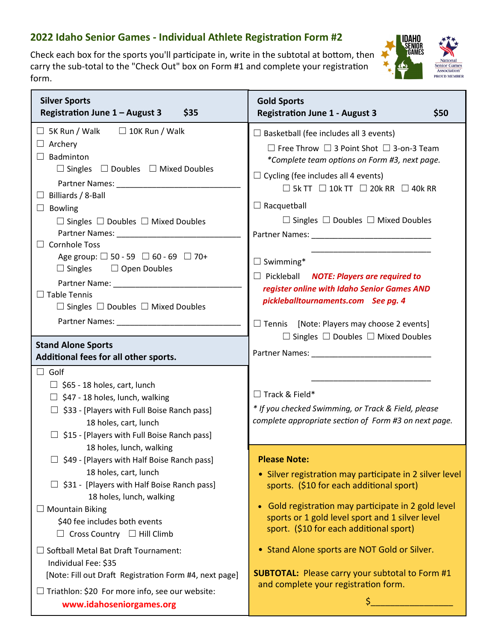## **2022 Idaho Senior Games ‐ Individual Athlete Registration Form #2**

Check each box for the sports you'll participate in, write in the subtotal at bottom, then carry the sub‐total to the "Check Out" box on Form #1 and complete your registration form.



| <b>Silver Sports</b><br>Registration June 1 - August 3<br>\$35                                                                                                                                                                | <b>Gold Sports</b><br><b>Registration June 1 - August 3</b><br>\$50                                                                                                                                                           |
|-------------------------------------------------------------------------------------------------------------------------------------------------------------------------------------------------------------------------------|-------------------------------------------------------------------------------------------------------------------------------------------------------------------------------------------------------------------------------|
| $\Box$ 10K Run / Walk<br>$\Box$ 5K Run / Walk                                                                                                                                                                                 | $\Box$ Basketball (fee includes all 3 events)                                                                                                                                                                                 |
| $\Box$ Archery                                                                                                                                                                                                                | $\Box$ Free Throw $\Box$ 3 Point Shot $\Box$ 3-on-3 Team                                                                                                                                                                      |
| $\Box$ Badminton<br>$\Box$ Doubles $\Box$ Mixed Doubles                                                                                                                                                                       | *Complete team options on Form #3, next page.                                                                                                                                                                                 |
| $\Box$ Singles                                                                                                                                                                                                                | $\Box$ Cycling (fee includes all 4 events)                                                                                                                                                                                    |
| $\Box$ Billiards / 8-Ball                                                                                                                                                                                                     | $\Box$ 5k TT $\Box$ 10k TT $\Box$ 20k RR $\Box$ 40k RR                                                                                                                                                                        |
| $\Box$ Bowling                                                                                                                                                                                                                | $\Box$ Racquetball                                                                                                                                                                                                            |
| $\Box$ Singles $\Box$ Doubles $\Box$ Mixed Doubles                                                                                                                                                                            | $\Box$ Singles $\Box$ Doubles $\Box$ Mixed Doubles                                                                                                                                                                            |
|                                                                                                                                                                                                                               |                                                                                                                                                                                                                               |
| $\Box$ Cornhole Toss<br>Age group: $\Box$ 50 - 59 $\Box$ 60 - 69 $\Box$ 70+                                                                                                                                                   |                                                                                                                                                                                                                               |
| $\Box$ Singles $\Box$ Open Doubles                                                                                                                                                                                            | $\Box$ Swimming*                                                                                                                                                                                                              |
|                                                                                                                                                                                                                               | $\Box$ Pickleball <b>NOTE: Players are required to</b><br>register online with Idaho Senior Games AND                                                                                                                         |
| $\Box$ Table Tennis                                                                                                                                                                                                           | pickleballtournaments.com See pg. 4                                                                                                                                                                                           |
| $\Box$ Singles $\Box$ Doubles $\Box$ Mixed Doubles                                                                                                                                                                            |                                                                                                                                                                                                                               |
| Partner Names: Names: Names and Names and Names and Names and Names and Names and Names and Names and Names and Names and Names and Names and Names and Names and Names and Names and Names and Names and Names and Names and | $\Box$ Tennis [Note: Players may choose 2 events]                                                                                                                                                                             |
| <b>Stand Alone Sports</b>                                                                                                                                                                                                     | $\Box$ Singles $\Box$ Doubles $\Box$ Mixed Doubles                                                                                                                                                                            |
| Additional fees for all other sports.                                                                                                                                                                                         | Partner Names: Names: Names and Names and Names and Names and Names and Names and Names and Names and Names and Names and Names and Names and Names and Names and Names and Names and Names and Names and Names and Names and |
| $\Box$ Golf                                                                                                                                                                                                                   |                                                                                                                                                                                                                               |
| $\Box$ \$65 - 18 holes, cart, lunch                                                                                                                                                                                           | $\Box$ Track & Field*                                                                                                                                                                                                         |
| $\Box$ \$47 - 18 holes, lunch, walking                                                                                                                                                                                        | * If you checked Swimming, or Track & Field, please                                                                                                                                                                           |
| $\Box$ \$33 - [Players with Full Boise Ranch pass]<br>18 holes, cart, lunch                                                                                                                                                   | complete appropriate section of Form #3 on next page.                                                                                                                                                                         |
| $\Box$ \$15 - [Players with Full Boise Ranch pass]                                                                                                                                                                            |                                                                                                                                                                                                                               |
| 18 holes, lunch, walking                                                                                                                                                                                                      |                                                                                                                                                                                                                               |
| $\Box$ \$49 - [Players with Half Boise Ranch pass]                                                                                                                                                                            | <b>Please Note:</b>                                                                                                                                                                                                           |
| 18 holes, cart, lunch                                                                                                                                                                                                         | • Silver registration may participate in 2 silver level                                                                                                                                                                       |
| $\Box$ \$31 - [Players with Half Boise Ranch pass]<br>18 holes, lunch, walking                                                                                                                                                | sports. (\$10 for each additional sport)                                                                                                                                                                                      |
| <b>Mountain Biking</b>                                                                                                                                                                                                        | • Gold registration may participate in 2 gold level                                                                                                                                                                           |
| \$40 fee includes both events                                                                                                                                                                                                 | sports or 1 gold level sport and 1 silver level                                                                                                                                                                               |
| $\Box$ Cross Country $\Box$ Hill Climb                                                                                                                                                                                        | sport. (\$10 for each additional sport)                                                                                                                                                                                       |
| <b>Softball Metal Bat Draft Tournament:</b>                                                                                                                                                                                   | • Stand Alone sports are NOT Gold or Silver.                                                                                                                                                                                  |
| Individual Fee: \$35                                                                                                                                                                                                          |                                                                                                                                                                                                                               |
| [Note: Fill out Draft Registration Form #4, next page]                                                                                                                                                                        | <b>SUBTOTAL:</b> Please carry your subtotal to Form #1<br>and complete your registration form.                                                                                                                                |
| $\Box$ Triathlon: \$20 For more info, see our website:                                                                                                                                                                        | \$                                                                                                                                                                                                                            |
| www.idahoseniorgames.org                                                                                                                                                                                                      |                                                                                                                                                                                                                               |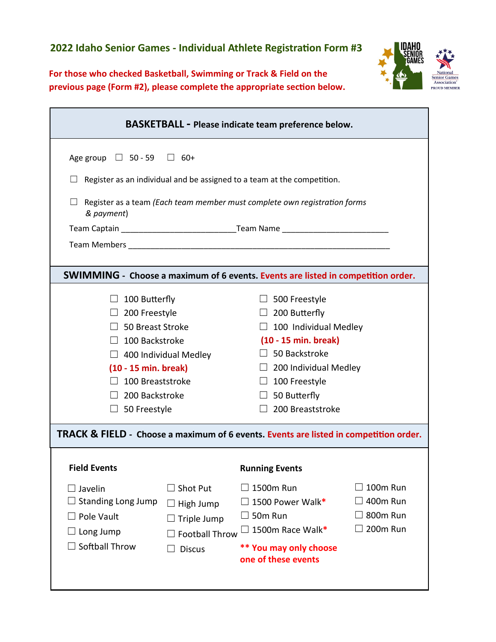**For those who checked Basketball, Swimming or Track & Field on the previous page (Form #2), please complete the appropriate section below.**